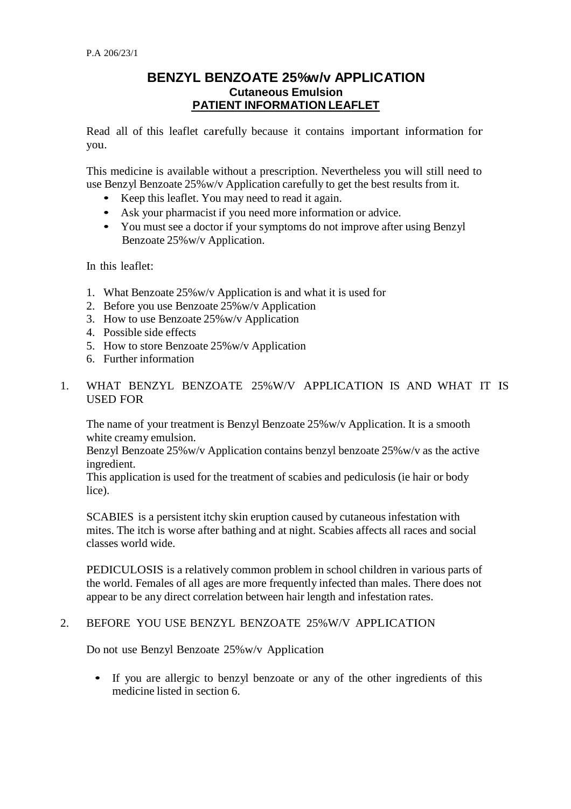# **BENZYL BENZOATE 25%w/v APPLICATION Cutaneous Emulsion PATIENT INFORMATION LEAFLET**

Read all of this leaflet carefully because it contains important information for you.

This medicine is available without a prescription. Nevertheless you will still need to use Benzyl Benzoate 25%w/v Application carefully to get the best results from it.

- Keep this leaflet. You may need to read it again.
- Ask your pharmacist if you need more information or advice.
- You must see a doctor if your symptoms do not improve after using Benzyl Benzoate 25%w/v Application.

In this leaflet:

- 1. What Benzoate 25%w/v Application is and what it is used for
- 2. Before you use Benzoate 25%w/v Application
- 3. How to use Benzoate 25%w/v Application
- 4. Possible side effects
- 5. How to store Benzoate 25%w/v Application
- 6. Further information
- 1. WHAT BENZYL BENZOATE 25%W/V APPLICATION IS AND WHAT IT IS USED FOR

The name of your treatment is Benzyl Benzoate 25%w/v Application. It is a smooth white creamy emulsion.

Benzyl Benzoate 25%w/v Application contains benzyl benzoate 25%w/v as the active ingredient.

This application is used for the treatment of scabies and pediculosis (ie hair or body lice).

SCABIES is a persistent itchy skin eruption caused by cutaneous infestation with mites. The itch is worse after bathing and at night. Scabies affects all races and social classes world wide.

PEDICULOSIS is a relatively common problem in school children in various parts of the world. Females of all ages are more frequently infected than males. There does not appear to be any direct correlation between hair length and infestation rates.

#### 2. BEFORE YOU USE BENZYL BENZOATE 25%W/V APPLICATION

Do not use Benzyl Benzoate 25%w/v Application

• If you are allergic to benzyl benzoate or any of the other ingredients of this medicine listed in section 6.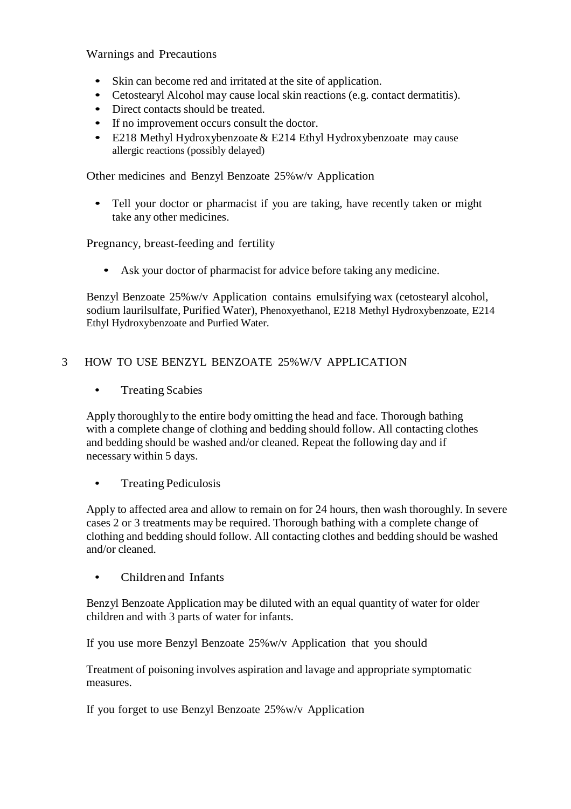Warnings and Precautions

- Skin can become red and irritated at the site of application.
- Cetostearyl Alcohol may cause local skin reactions (e.g. contact dermatitis).
- Direct contacts should be treated.
- If no improvement occurs consult the doctor.
- E218 Methyl Hydroxybenzoate  $&$  E214 Ethyl Hydroxybenzoate may cause allergic reactions (possibly delayed)

Other medicines and Benzyl Benzoate 25%w/v Application

• Tell your doctor or pharmacist if you are taking, have recently taken or might take any other medicines.

Pregnancy, breast-feeding and fertility

• Ask your doctor of pharmacist for advice before taking any medicine.

Benzyl Benzoate 25%w/v Application contains emulsifying wax (cetostearyl alcohol, sodium laurilsulfate, Purified Water), Phenoxyethanol, E218 Methyl Hydroxybenzoate, E214 Ethyl Hydroxybenzoate and Purfied Water.

## 3 HOW TO USE BENZYL BENZOATE 25%W/V APPLICATION

• Treating Scabies

Apply thoroughly to the entire body omitting the head and face. Thorough bathing with a complete change of clothing and bedding should follow. All contacting clothes and bedding should be washed and/or cleaned. Repeat the following day and if necessary within 5 days.

• Treating Pediculosis

Apply to affected area and allow to remain on for 24 hours, then wash thoroughly. In severe cases 2 or 3 treatments may be required. Thorough bathing with a complete change of clothing and bedding should follow. All contacting clothes and bedding should be washed and/or cleaned.

• Children and Infants

Benzyl Benzoate Application may be diluted with an equal quantity of water for older children and with 3 parts of water for infants.

If you use more Benzyl Benzoate 25%w/v Application that you should

Treatment of poisoning involves aspiration and lavage and appropriate symptomatic measures.

If you forget to use Benzyl Benzoate 25%w/v Application